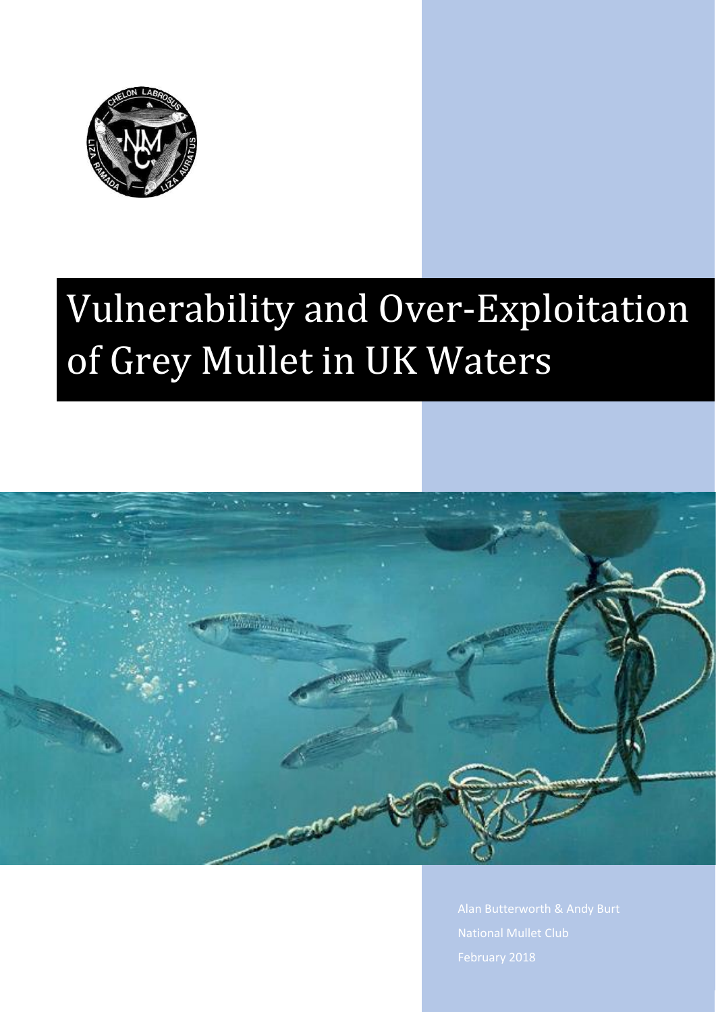

# Vulnerability and Over-Exploitation of Grey Mullet in UK Waters

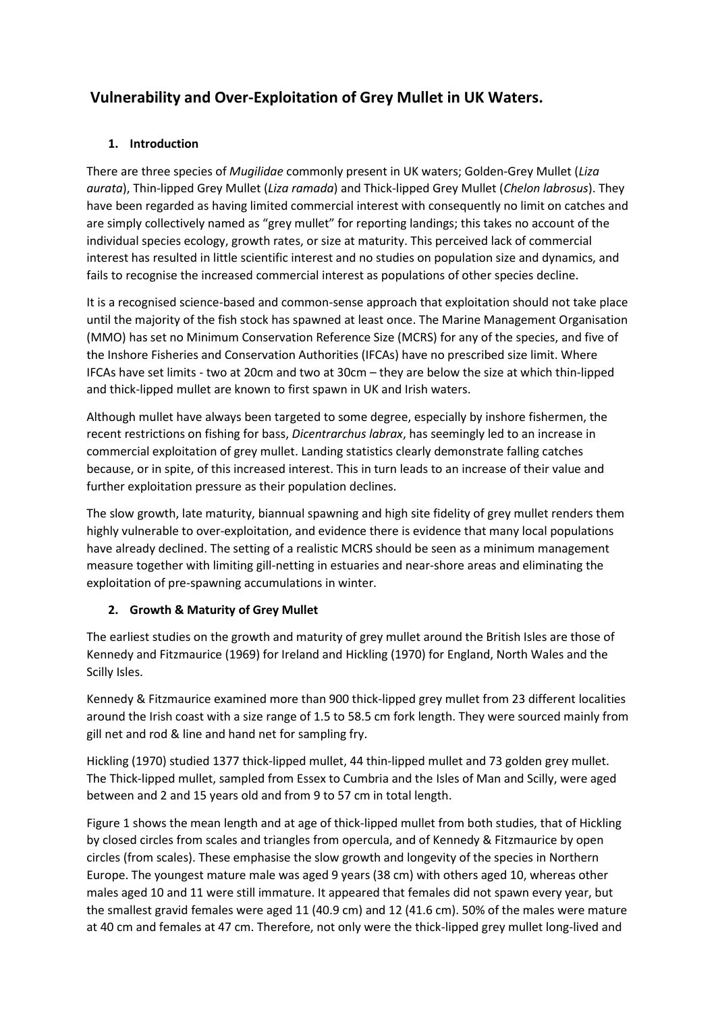# **Vulnerability and Over-Exploitation of Grey Mullet in UK Waters.**

## **1. Introduction**

There are three species of *Mugilidae* commonly present in UK waters; Golden-Grey Mullet (*Liza aurata*), Thin-lipped Grey Mullet (*Liza ramada*) and Thick-lipped Grey Mullet (*Chelon labrosus*). They have been regarded as having limited commercial interest with consequently no limit on catches and are simply collectively named as "grey mullet" for reporting landings; this takes no account of the individual species ecology, growth rates, or size at maturity. This perceived lack of commercial interest has resulted in little scientific interest and no studies on population size and dynamics, and fails to recognise the increased commercial interest as populations of other species decline.

It is a recognised science-based and common-sense approach that exploitation should not take place until the majority of the fish stock has spawned at least once. The Marine Management Organisation (MMO) has set no Minimum Conservation Reference Size (MCRS) for any of the species, and five of the Inshore Fisheries and Conservation Authorities (IFCAs) have no prescribed size limit. Where IFCAs have set limits - two at 20cm and two at 30cm – they are below the size at which thin-lipped and thick-lipped mullet are known to first spawn in UK and Irish waters.

Although mullet have always been targeted to some degree, especially by inshore fishermen, the recent restrictions on fishing for bass, *Dicentrarchus labrax*, has seemingly led to an increase in commercial exploitation of grey mullet. Landing statistics clearly demonstrate falling catches because, or in spite, of this increased interest. This in turn leads to an increase of their value and further exploitation pressure as their population declines.

The slow growth, late maturity, biannual spawning and high site fidelity of grey mullet renders them highly vulnerable to over-exploitation, and evidence there is evidence that many local populations have already declined. The setting of a realistic MCRS should be seen as a minimum management measure together with limiting gill-netting in estuaries and near-shore areas and eliminating the exploitation of pre-spawning accumulations in winter.

# **2. Growth & Maturity of Grey Mullet**

The earliest studies on the growth and maturity of grey mullet around the British Isles are those of Kennedy and Fitzmaurice (1969) for Ireland and Hickling (1970) for England, North Wales and the Scilly Isles.

Kennedy & Fitzmaurice examined more than 900 thick-lipped grey mullet from 23 different localities around the Irish coast with a size range of 1.5 to 58.5 cm fork length. They were sourced mainly from gill net and rod & line and hand net for sampling fry.

Hickling (1970) studied 1377 thick-lipped mullet, 44 thin-lipped mullet and 73 golden grey mullet. The Thick-lipped mullet, sampled from Essex to Cumbria and the Isles of Man and Scilly, were aged between and 2 and 15 years old and from 9 to 57 cm in total length.

Figure 1 shows the mean length and at age of thick-lipped mullet from both studies, that of Hickling by closed circles from scales and triangles from opercula, and of Kennedy & Fitzmaurice by open circles (from scales). These emphasise the slow growth and longevity of the species in Northern Europe. The youngest mature male was aged 9 years (38 cm) with others aged 10, whereas other males aged 10 and 11 were still immature. It appeared that females did not spawn every year, but the smallest gravid females were aged 11 (40.9 cm) and 12 (41.6 cm). 50% of the males were mature at 40 cm and females at 47 cm. Therefore, not only were the thick-lipped grey mullet long-lived and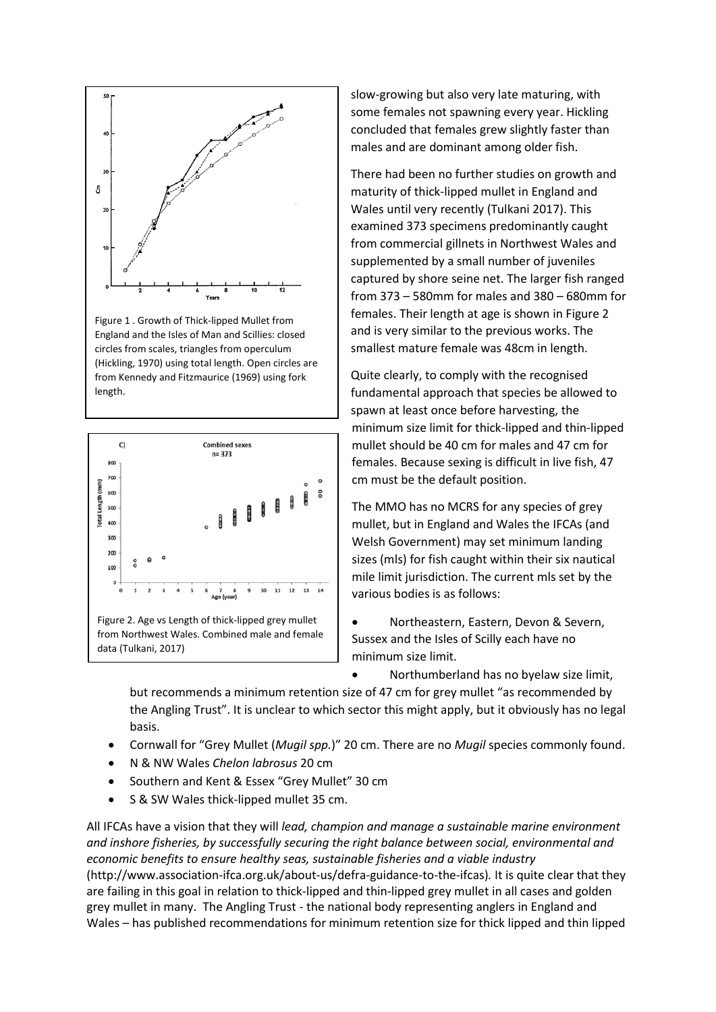

Figure 1 . Growth of Thick-lipped Mullet from England and the Isles of Man and Scillies: closed circles from scales, triangles from operculum (Hickling, 1970) using total length. Open circles are from Kennedy and Fitzmaurice (1969) using fork length.



slow-growing but also very late maturing, with some females not spawning every year. Hickling concluded that females grew slightly faster than males and are dominant among older fish.

There had been no further studies on growth and maturity of thick-lipped mullet in England and Wales until very recently (Tulkani 2017). This examined 373 specimens predominantly caught from commercial gillnets in Northwest Wales and supplemented by a small number of juveniles captured by shore seine net. The larger fish ranged from 373 – 580mm for males and 380 – 680mm for females. Their length at age is shown in Figure 2 and is very similar to the previous works. The smallest mature female was 48cm in length.

Quite clearly, to comply with the recognised fundamental approach that species be allowed to spawn at least once before harvesting, the minimum size limit for thick-lipped and thin-lipped mullet should be 40 cm for males and 47 cm for females. Because sexing is difficult in live fish, 47 cm must be the default position.

The MMO has no MCRS for any species of grey mullet, but in England and Wales the IFCAs (and Welsh Government) may set minimum landing sizes (mls) for fish caught within their six nautical mile limit jurisdiction. The current mls set by the various bodies is as follows:

• Northeastern, Eastern, Devon & Severn, Sussex and the Isles of Scilly each have no minimum size limit.

• Northumberland has no byelaw size limit,

but recommends a minimum retention size of 47 cm for grey mullet "as recommended by the Angling Trust". It is unclear to which sector this might apply, but it obviously has no legal basis.

- Cornwall for "Grey Mullet (*Mugil spp.*)" 20 cm. There are no *Mugil* species commonly found.
- N & NW Wales *Chelon labrosus* 20 cm
- Southern and Kent & Essex "Grey Mullet" 30 cm
- S & SW Wales thick-lipped mullet 35 cm.

All IFCAs have a vision that they will *lead, champion and manage a sustainable marine environment and inshore fisheries, by successfully securing the right balance between social, environmental and economic benefits to ensure healthy seas, sustainable fisheries and a viable industry*  (http://www.association-ifca.org.uk/about-us/defra-guidance-to-the-ifcas)*.* It is quite clear that they are failing in this goal in relation to thick-lipped and thin-lipped grey mullet in all cases and golden grey mullet in many. The Angling Trust - the national body representing anglers in England and Wales – has published recommendations for minimum retention size for thick lipped and thin lipped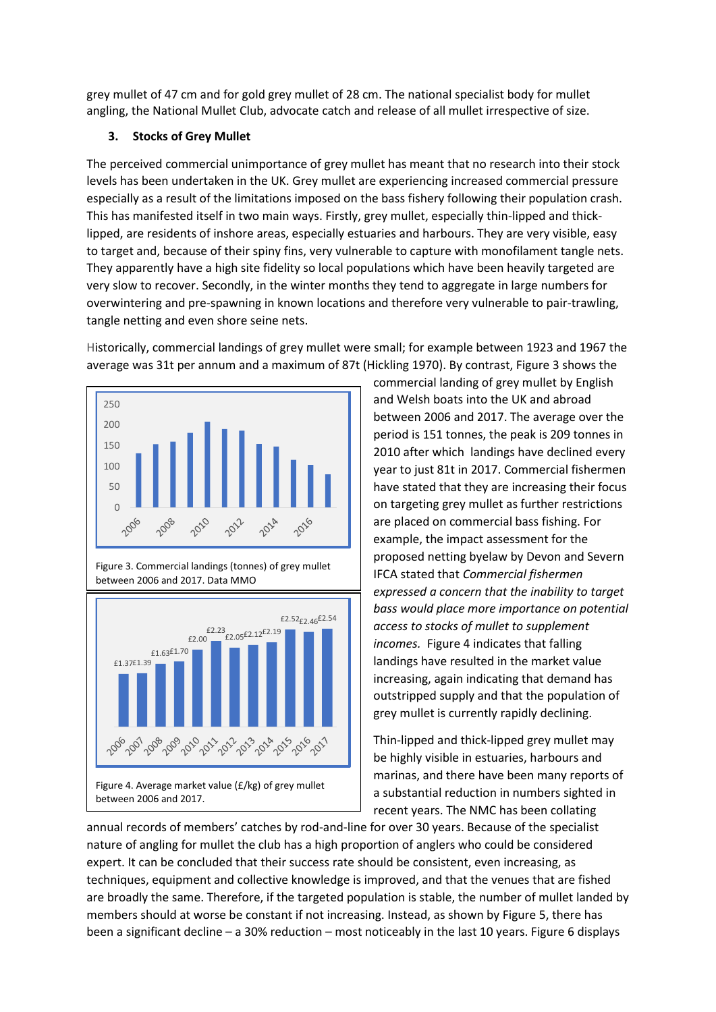grey mullet of 47 cm and for gold grey mullet of 28 cm. The national specialist body for mullet angling, the National Mullet Club, advocate catch and release of all mullet irrespective of size.

#### **3. Stocks of Grey Mullet**

The perceived commercial unimportance of grey mullet has meant that no research into their stock levels has been undertaken in the UK. Grey mullet are experiencing increased commercial pressure especially as a result of the limitations imposed on the bass fishery following their population crash. This has manifested itself in two main ways. Firstly, grey mullet, especially thin-lipped and thicklipped, are residents of inshore areas, especially estuaries and harbours. They are very visible, easy to target and, because of their spiny fins, very vulnerable to capture with monofilament tangle nets. They apparently have a high site fidelity so local populations which have been heavily targeted are very slow to recover. Secondly, in the winter months they tend to aggregate in large numbers for overwintering and pre-spawning in known locations and therefore very vulnerable to pair-trawling, tangle netting and even shore seine nets.

Historically, commercial landings of grey mullet were small; for example between 1923 and 1967 the average was 31t per annum and a maximum of 87t (Hickling 1970). By contrast, Figure 3 shows the







commercial landing of grey mullet by English and Welsh boats into the UK and abroad between 2006 and 2017. The average over the period is 151 tonnes, the peak is 209 tonnes in 2010 after which landings have declined every year to just 81t in 2017. Commercial fishermen have stated that they are increasing their focus on targeting grey mullet as further restrictions are placed on commercial bass fishing. For example, the impact assessment for the proposed netting byelaw by Devon and Severn IFCA stated that *Commercial fishermen expressed a concern that the inability to target bass would place more importance on potential access to stocks of mullet to supplement incomes.* Figure 4 indicates that falling landings have resulted in the market value increasing, again indicating that demand has outstripped supply and that the population of grey mullet is currently rapidly declining.

Thin-lipped and thick-lipped grey mullet may be highly visible in estuaries, harbours and marinas, and there have been many reports of a substantial reduction in numbers sighted in recent years. The NMC has been collating

annual records of members' catches by rod-and-line for over 30 years. Because of the specialist nature of angling for mullet the club has a high proportion of anglers who could be considered expert. It can be concluded that their success rate should be consistent, even increasing, as techniques, equipment and collective knowledge is improved, and that the venues that are fished are broadly the same. Therefore, if the targeted population is stable, the number of mullet landed by members should at worse be constant if not increasing. Instead, as shown by Figure 5, there has been a significant decline – a 30% reduction – most noticeably in the last 10 years. Figure 6 displays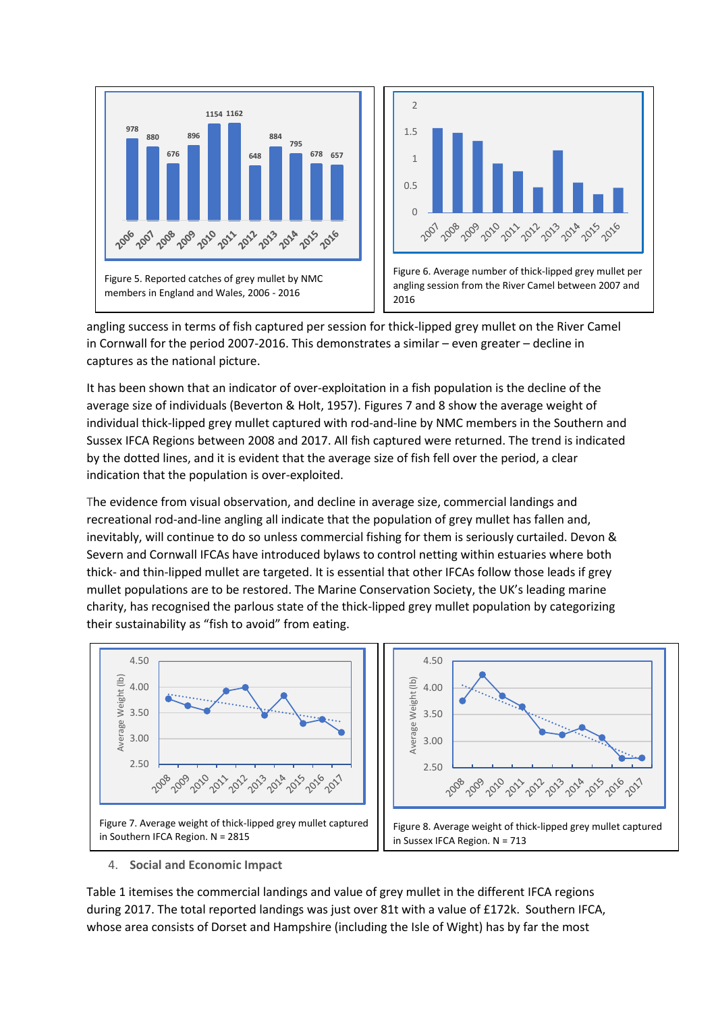

angling success in terms of fish captured per session for thick-lipped grey mullet on the River Camel in Cornwall for the period 2007-2016. This demonstrates a similar – even greater – decline in captures as the national picture.

It has been shown that an indicator of over-exploitation in a fish population is the decline of the average size of individuals (Beverton & Holt, 1957). Figures 7 and 8 show the average weight of individual thick-lipped grey mullet captured with rod-and-line by NMC members in the Southern and Sussex IFCA Regions between 2008 and 2017. All fish captured were returned. The trend is indicated by the dotted lines, and it is evident that the average size of fish fell over the period, a clear indication that the population is over-exploited.

The evidence from visual observation, and decline in average size, commercial landings and recreational rod-and-line angling all indicate that the population of grey mullet has fallen and, inevitably, will continue to do so unless commercial fishing for them is seriously curtailed. Devon & Severn and Cornwall IFCAs have introduced bylaws to control netting within estuaries where both thick- and thin-lipped mullet are targeted. It is essential that other IFCAs follow those leads if grey mullet populations are to be restored. The Marine Conservation Society, the UK's leading marine charity, has recognised the parlous state of the thick-lipped grey mullet population by categorizing their sustainability as "fish to avoid" from eating.





#### 4. **Social and Economic Impact**

Table 1 itemises the commercial landings and value of grey mullet in the different IFCA regions during 2017. The total reported landings was just over 81t with a value of £172k. Southern IFCA, whose area consists of Dorset and Hampshire (including the Isle of Wight) has by far the most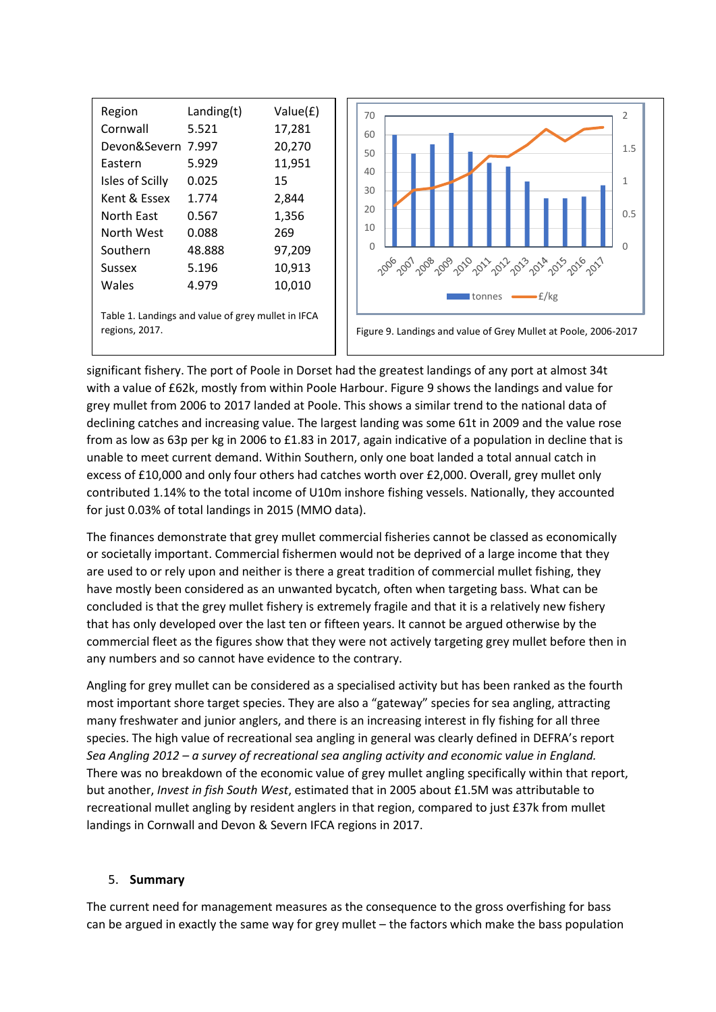| Region                                                               | Landing(t) | Value(£) |
|----------------------------------------------------------------------|------------|----------|
| Cornwall                                                             | 5.521      | 17,281   |
| Devon&Severn                                                         | 7.997      | 20,270   |
| Eastern                                                              | 5.929      | 11,951   |
| Isles of Scilly                                                      | 0.025      | 15       |
| Kent & Essex                                                         | 1.774      | 2,844    |
| North East                                                           | 0.567      | 1,356    |
| North West                                                           | 0.088      | 269      |
| Southern                                                             | 48.888     | 97,209   |
| Sussex                                                               | 5.196      | 10,913   |
| Wales                                                                | 4.979      | 10,010   |
| Table 1. Landings and value of grey mullet in IFCA<br>regions, 2017. |            |          |



Figure 9. Landings and value of Grey Mullet at Poole, 2006-2017

significant fishery. The port of Poole in Dorset had the greatest landings of any port at almost 34t with a value of £62k, mostly from within Poole Harbour. Figure 9 shows the landings and value for grey mullet from 2006 to 2017 landed at Poole. This shows a similar trend to the national data of declining catches and increasing value. The largest landing was some 61t in 2009 and the value rose from as low as 63p per kg in 2006 to £1.83 in 2017, again indicative of a population in decline that is unable to meet current demand. Within Southern, only one boat landed a total annual catch in excess of £10,000 and only four others had catches worth over £2,000. Overall, grey mullet only contributed 1.14% to the total income of U10m inshore fishing vessels. Nationally, they accounted for just 0.03% of total landings in 2015 (MMO data).

The finances demonstrate that grey mullet commercial fisheries cannot be classed as economically or societally important. Commercial fishermen would not be deprived of a large income that they are used to or rely upon and neither is there a great tradition of commercial mullet fishing, they have mostly been considered as an unwanted bycatch, often when targeting bass. What can be concluded is that the grey mullet fishery is extremely fragile and that it is a relatively new fishery that has only developed over the last ten or fifteen years. It cannot be argued otherwise by the commercial fleet as the figures show that they were not actively targeting grey mullet before then in any numbers and so cannot have evidence to the contrary.

Angling for grey mullet can be considered as a specialised activity but has been ranked as the fourth most important shore target species. They are also a "gateway" species for sea angling, attracting many freshwater and junior anglers, and there is an increasing interest in fly fishing for all three species. The high value of recreational sea angling in general was clearly defined in DEFRA's report *Sea Angling 2012 – a survey of recreational sea angling activity and economic value in England.*  There was no breakdown of the economic value of grey mullet angling specifically within that report, but another, *Invest in fish South West*, estimated that in 2005 about £1.5M was attributable to recreational mullet angling by resident anglers in that region, compared to just £37k from mullet landings in Cornwall and Devon & Severn IFCA regions in 2017.

#### 5. **Summary**

The current need for management measures as the consequence to the gross overfishing for bass can be argued in exactly the same way for grey mullet – the factors which make the bass population